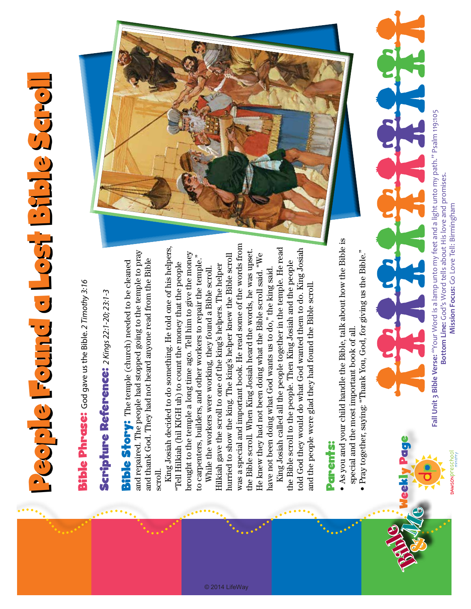## People Found a Lost Bfble Seroll People Found a Lost Bible Scroll

**Bible Phrase:** God gave us the Bible. 2 Timothy 3:16 Bible Phrase: God gave us the Bible. *2 Timothy 3:16*

## Scripture Reference: 2 Kings 22:1-20; 23:1-3 Scripture Reference: *2 Kings 22:1-20; 23:1-3*

and repaired. The people had stopped going to the temple to pray and repaired. The people had stopped going to the temple to pray and thank God. They had not heard anyone read from the Bible and thank God. They had not heard anyone read from the Bible **Bible Story:** The temple (church) needed to be cleaned Bible Story: The temple (church) needed to be cleaned scroll.

King Josiah decided to do something. He told one of his helpers, King Josiah decided to do something. He told one of his helpers, brought to the temple a long time ago. Tell him to give the money brought to the temple a long time ago. Tell him to give the money to carpenters, builders, and other workers to repair the temple." to carpenters, builders, and other workers to repair the temple." "Tell Hilkiah (hil KIGH uh) to count the money that the people "Tell Hilkiah (hil KIGH uh) to count the money that the people

was a special and important book. He read some of the words from was a special and important book. He read some of the words from the Bible scroll. When King Josiah heard the words, he was upset. the Bible scroll. When King Josiah heard the words, he was upset. hurried to show the king. The king's helper knew the Bible scroll He knew they had not been doing what the Bible scroll said. "We He knew they had not been doing what the Bible scroll said. "We hurried to show the king. The king's helper knew the Bible scroll Hilkiah gave the scroll to one of the king's helpers. The helper Hilkiah gave the scroll to one of the king's helpers. The helper While the workers were working, they found a Bible scroll. While the workers were working, they found a Bible scroll. have not been doing what God wants us to do," the king said. have not been doing what God wants us to do," the king said.

© 2014 LifeWay

King Josiah called all the people together in the temple. He read King Josiah called all the people together in the temple. He read told God they would do what God wanted them to do. King Josiah told God they would do what God wanted them to do. King Josiah the Bible scroll to the people. Then King Josiah and the people the Bible scroll to the people. Then King Josiah and the people and the people were glad they had found the Bible scroll. and the people were glad they had found the Bible scroll.

## Parents: **Parents:**

- As you and your child handle the Bible, talk about how the Bible is As you and your child handle the Bible, talk about how the Bible is special and the most important book of all. special and the most important book of all. •
	- Pray together, saying: "Thank You, God, for giving us the Bible." Pray together, saying: "Thank You, God, for giving us the Bible."



Fall Unit 3 Bible Verse: "Your Word is a lamp unto my feet and a light unto my path." Psalm 119:105 **Fall Unit 3 Bible Verse:** "Your Word is a lamp unto my feet and a light unto my path." Psalm 119:105 Bottom Line: God's Word tells about His love and promises. **Bottom Line:** God's Word tells about His love and promises. Mission Focus: Go Love Tell: Birmingham **Mission Focus:** Go Love Tell: Birmingham

**DAWSON**Preschool

Weekly Page

Bible &